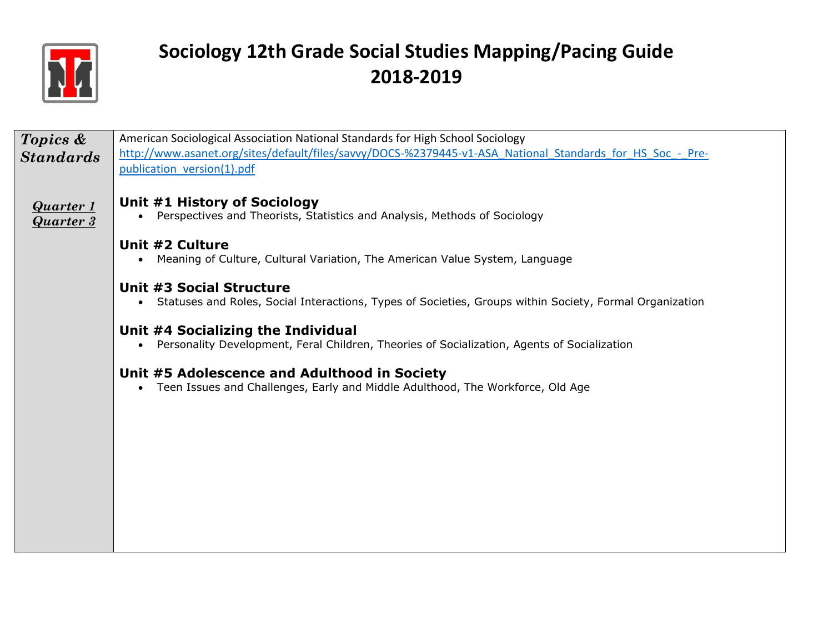

| Topics &                             | American Sociological Association National Standards for High School Sociology                                                                   |
|--------------------------------------|--------------------------------------------------------------------------------------------------------------------------------------------------|
| <b>Standards</b>                     | http://www.asanet.org/sites/default/files/savvy/DOCS-%2379445-v1-ASA National Standards for HS Soc - Pre-                                        |
|                                      | publication version(1).pdf                                                                                                                       |
| <u>Quarter 1</u><br><b>Quarter 3</b> | Unit #1 History of Sociology<br>Perspectives and Theorists, Statistics and Analysis, Methods of Sociology<br>$\bullet$                           |
|                                      | Unit #2 Culture<br>Meaning of Culture, Cultural Variation, The American Value System, Language<br>$\bullet$                                      |
|                                      | Unit #3 Social Structure<br>Statuses and Roles, Social Interactions, Types of Societies, Groups within Society, Formal Organization<br>$\bullet$ |
|                                      | Unit #4 Socializing the Individual<br>Personality Development, Feral Children, Theories of Socialization, Agents of Socialization<br>$\bullet$   |
|                                      | Unit #5 Adolescence and Adulthood in Society<br>Teen Issues and Challenges, Early and Middle Adulthood, The Workforce, Old Age<br>$\bullet$      |
|                                      |                                                                                                                                                  |
|                                      |                                                                                                                                                  |
|                                      |                                                                                                                                                  |
|                                      |                                                                                                                                                  |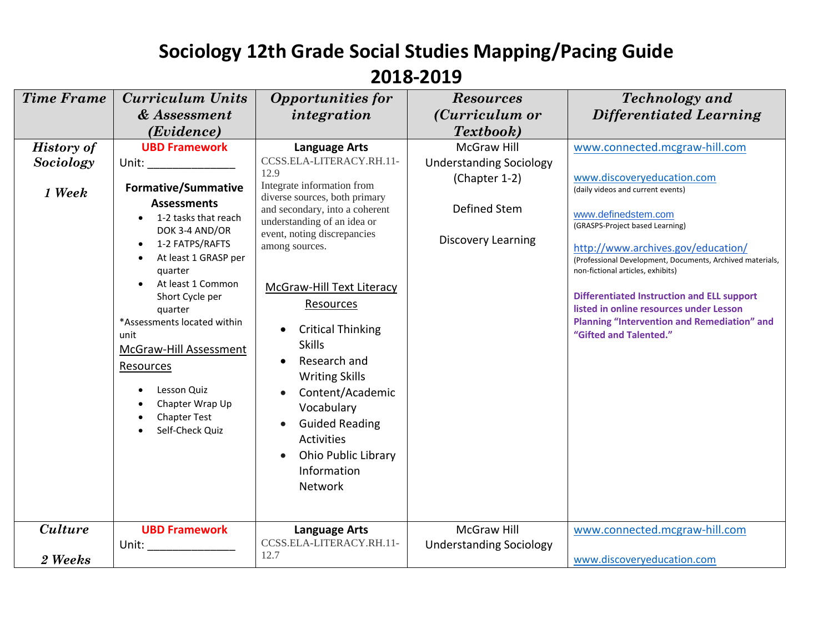### **2018-2019**

| <b>Time Frame</b>                        | <b>Curriculum Units</b>                                                                                                                                                                                                                                                                                                                                                                                                                                                                                                                                                                                                 | <b>Opportunities for</b>                                                                                                                                                                                                                                                                                                                                                                                                                                                                               | <b>Resources</b>                                                                                                   | <b>Technology</b> and                                                                                                                                                                                                                                                                                                                                                                                                                                                              |
|------------------------------------------|-------------------------------------------------------------------------------------------------------------------------------------------------------------------------------------------------------------------------------------------------------------------------------------------------------------------------------------------------------------------------------------------------------------------------------------------------------------------------------------------------------------------------------------------------------------------------------------------------------------------------|--------------------------------------------------------------------------------------------------------------------------------------------------------------------------------------------------------------------------------------------------------------------------------------------------------------------------------------------------------------------------------------------------------------------------------------------------------------------------------------------------------|--------------------------------------------------------------------------------------------------------------------|------------------------------------------------------------------------------------------------------------------------------------------------------------------------------------------------------------------------------------------------------------------------------------------------------------------------------------------------------------------------------------------------------------------------------------------------------------------------------------|
|                                          | & Assessment                                                                                                                                                                                                                                                                                                                                                                                                                                                                                                                                                                                                            | integration                                                                                                                                                                                                                                                                                                                                                                                                                                                                                            | (Curriculum or                                                                                                     | <b>Differentiated Learning</b>                                                                                                                                                                                                                                                                                                                                                                                                                                                     |
|                                          | (Evidence)                                                                                                                                                                                                                                                                                                                                                                                                                                                                                                                                                                                                              |                                                                                                                                                                                                                                                                                                                                                                                                                                                                                                        | Textbook)                                                                                                          |                                                                                                                                                                                                                                                                                                                                                                                                                                                                                    |
| <b>History of</b><br>Sociology<br>1 Week | <b>UBD Framework</b><br>Unit: the contract of the contract of the contract of the contract of the contract of the contract of the contract of the contract of the contract of the contract of the contract of the contract of the contract of the cont<br><b>Formative/Summative</b><br><b>Assessments</b><br>1-2 tasks that reach<br>DOK 3-4 AND/OR<br>1-2 FATPS/RAFTS<br>At least 1 GRASP per<br>quarter<br>At least 1 Common<br>Short Cycle per<br>quarter<br>*Assessments located within<br>unit<br>McGraw-Hill Assessment<br>Resources<br>Lesson Quiz<br>Chapter Wrap Up<br><b>Chapter Test</b><br>Self-Check Quiz | <b>Language Arts</b><br>CCSS.ELA-LITERACY.RH.11-<br>12.9<br>Integrate information from<br>diverse sources, both primary<br>and secondary, into a coherent<br>understanding of an idea or<br>event, noting discrepancies<br>among sources.<br>McGraw-Hill Text Literacy<br>Resources<br><b>Critical Thinking</b><br><b>Skills</b><br>Research and<br><b>Writing Skills</b><br>Content/Academic<br>Vocabulary<br><b>Guided Reading</b><br><b>Activities</b><br><b>Ohio Public Library</b><br>Information | <b>McGraw Hill</b><br><b>Understanding Sociology</b><br>(Chapter 1-2)<br>Defined Stem<br><b>Discovery Learning</b> | www.connected.mcgraw-hill.com<br>www.discoveryeducation.com<br>(daily videos and current events)<br>www.definedstem.com<br>(GRASPS-Project based Learning)<br>http://www.archives.gov/education/<br>(Professional Development, Documents, Archived materials,<br>non-fictional articles, exhibits)<br><b>Differentiated Instruction and ELL support</b><br>listed in online resources under Lesson<br><b>Planning "Intervention and Remediation" and</b><br>"Gifted and Talented." |
| <b>Culture</b><br>2 Weeks                | <b>UBD Framework</b><br>Unit: the contract of the contract of the contract of the contract of the contract of the contract of the contract of the contract of the contract of the contract of the contract of the contract of the contract of the cont                                                                                                                                                                                                                                                                                                                                                                  | Network<br><b>Language Arts</b><br>CCSS.ELA-LITERACY.RH.11-<br>12.7                                                                                                                                                                                                                                                                                                                                                                                                                                    | <b>McGraw Hill</b><br><b>Understanding Sociology</b>                                                               | www.connected.mcgraw-hill.com<br>www.discoveryeducation.com                                                                                                                                                                                                                                                                                                                                                                                                                        |
|                                          |                                                                                                                                                                                                                                                                                                                                                                                                                                                                                                                                                                                                                         |                                                                                                                                                                                                                                                                                                                                                                                                                                                                                                        |                                                                                                                    |                                                                                                                                                                                                                                                                                                                                                                                                                                                                                    |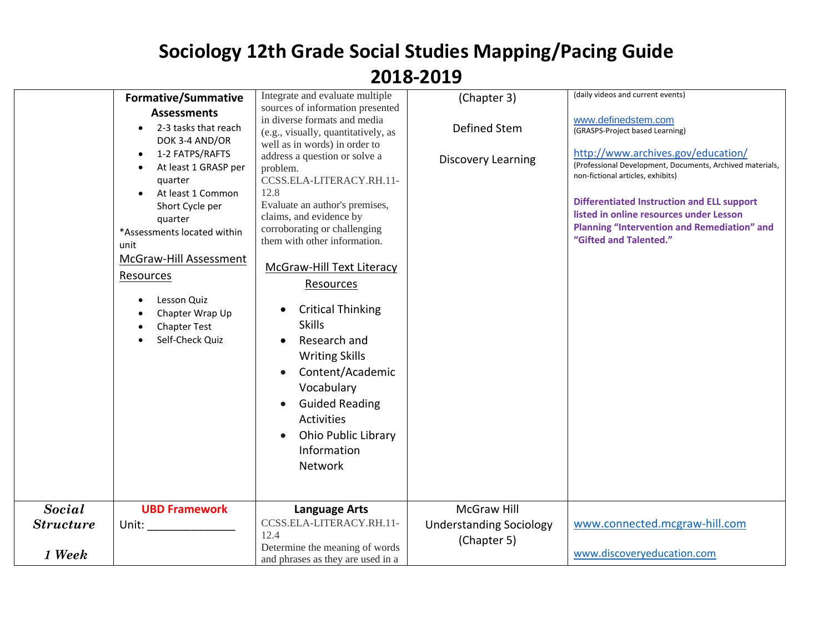|                  | <b>Formative/Summative</b>                                                                                                                                                                                                                                                                                                             | Integrate and evaluate multiple                                                                                                                                                                                                                                                                                                                                                                                                                                                                                                                                                                                                      | (Chapter 3)                               | (daily videos and current events)                                                                                                                                                                                                                                                                                                                                              |
|------------------|----------------------------------------------------------------------------------------------------------------------------------------------------------------------------------------------------------------------------------------------------------------------------------------------------------------------------------------|--------------------------------------------------------------------------------------------------------------------------------------------------------------------------------------------------------------------------------------------------------------------------------------------------------------------------------------------------------------------------------------------------------------------------------------------------------------------------------------------------------------------------------------------------------------------------------------------------------------------------------------|-------------------------------------------|--------------------------------------------------------------------------------------------------------------------------------------------------------------------------------------------------------------------------------------------------------------------------------------------------------------------------------------------------------------------------------|
|                  | <b>Assessments</b><br>2-3 tasks that reach<br>DOK 3-4 AND/OR<br>1-2 FATPS/RAFTS<br>At least 1 GRASP per<br>quarter<br>At least 1 Common<br>Short Cycle per<br>quarter<br>*Assessments located within<br>unit<br><b>McGraw-Hill Assessment</b><br>Resources<br>Lesson Quiz<br>Chapter Wrap Up<br><b>Chapter Test</b><br>Self-Check Quiz | sources of information presented<br>in diverse formats and media<br>(e.g., visually, quantitatively, as<br>well as in words) in order to<br>address a question or solve a<br>problem.<br>CCSS.ELA-LITERACY.RH.11-<br>12.8<br>Evaluate an author's premises,<br>claims, and evidence by<br>corroborating or challenging<br>them with other information.<br>McGraw-Hill Text Literacy<br>Resources<br><b>Critical Thinking</b><br><b>Skills</b><br>Research and<br><b>Writing Skills</b><br>Content/Academic<br>Vocabulary<br><b>Guided Reading</b><br>$\bullet$<br>Activities<br><b>Ohio Public Library</b><br>Information<br>Network | Defined Stem<br><b>Discovery Learning</b> | www.definedstem.com<br>(GRASPS-Project based Learning)<br>http://www.archives.gov/education/<br>(Professional Development, Documents, Archived materials,<br>non-fictional articles, exhibits)<br><b>Differentiated Instruction and ELL support</b><br>listed in online resources under Lesson<br><b>Planning "Intervention and Remediation" and</b><br>"Gifted and Talented." |
|                  |                                                                                                                                                                                                                                                                                                                                        |                                                                                                                                                                                                                                                                                                                                                                                                                                                                                                                                                                                                                                      |                                           |                                                                                                                                                                                                                                                                                                                                                                                |
| <b>Social</b>    | <b>UBD Framework</b>                                                                                                                                                                                                                                                                                                                   | <b>Language Arts</b>                                                                                                                                                                                                                                                                                                                                                                                                                                                                                                                                                                                                                 | <b>McGraw Hill</b>                        |                                                                                                                                                                                                                                                                                                                                                                                |
| <b>Structure</b> | Unit:                                                                                                                                                                                                                                                                                                                                  | CCSS.ELA-LITERACY.RH.11-<br>12.4                                                                                                                                                                                                                                                                                                                                                                                                                                                                                                                                                                                                     | <b>Understanding Sociology</b>            | www.connected.mcgraw-hill.com                                                                                                                                                                                                                                                                                                                                                  |
| 1 Week           |                                                                                                                                                                                                                                                                                                                                        | Determine the meaning of words<br>and phrases as they are used in a                                                                                                                                                                                                                                                                                                                                                                                                                                                                                                                                                                  | (Chapter 5)                               | www.discoveryeducation.com                                                                                                                                                                                                                                                                                                                                                     |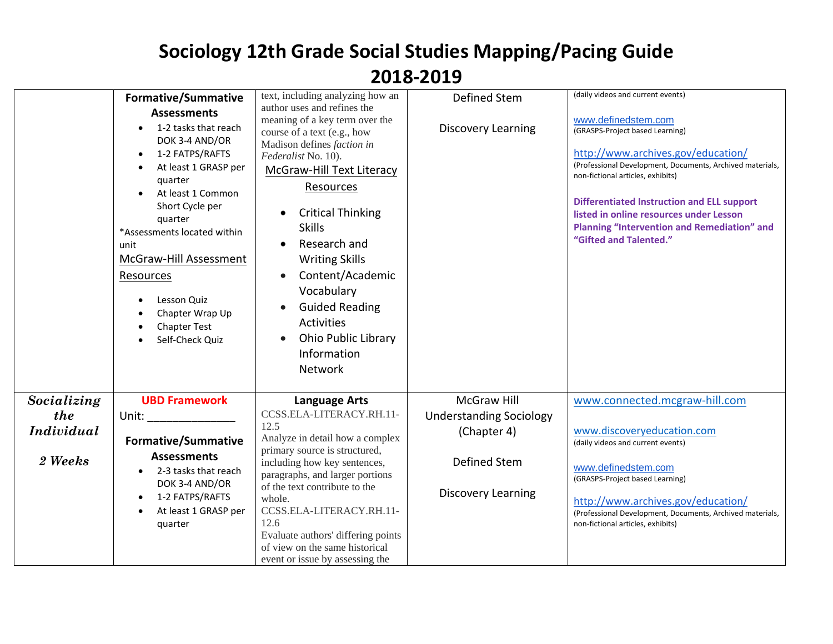|                   | <b>Formative/Summative</b>                                                                                                                                                                                                                                                                                                             | text, including analyzing how an                                                                                                                                                                                                                                                                                                                                                                                                       | Defined Stem                   | (daily videos and current events)                                                                                                                                                                                                                                                                                                                                              |
|-------------------|----------------------------------------------------------------------------------------------------------------------------------------------------------------------------------------------------------------------------------------------------------------------------------------------------------------------------------------|----------------------------------------------------------------------------------------------------------------------------------------------------------------------------------------------------------------------------------------------------------------------------------------------------------------------------------------------------------------------------------------------------------------------------------------|--------------------------------|--------------------------------------------------------------------------------------------------------------------------------------------------------------------------------------------------------------------------------------------------------------------------------------------------------------------------------------------------------------------------------|
|                   | <b>Assessments</b><br>1-2 tasks that reach<br>DOK 3-4 AND/OR<br>1-2 FATPS/RAFTS<br>At least 1 GRASP per<br>quarter<br>At least 1 Common<br>Short Cycle per<br>quarter<br>*Assessments located within<br>unit<br>McGraw-Hill Assessment<br><b>Resources</b><br>Lesson Quiz<br>Chapter Wrap Up<br><b>Chapter Test</b><br>Self-Check Quiz | author uses and refines the<br>meaning of a key term over the<br>course of a text (e.g., how<br>Madison defines faction in<br>Federalist No. 10).<br>McGraw-Hill Text Literacy<br><b>Resources</b><br><b>Critical Thinking</b><br><b>Skills</b><br>Research and<br><b>Writing Skills</b><br>Content/Academic<br>Vocabulary<br><b>Guided Reading</b><br><b>Activities</b><br>Ohio Public Library<br>$\bullet$<br>Information<br>Network | <b>Discovery Learning</b>      | www.definedstem.com<br>(GRASPS-Project based Learning)<br>http://www.archives.gov/education/<br>(Professional Development, Documents, Archived materials,<br>non-fictional articles, exhibits)<br><b>Differentiated Instruction and ELL support</b><br>listed in online resources under Lesson<br><b>Planning "Intervention and Remediation" and</b><br>"Gifted and Talented." |
| Socializing       | <b>UBD Framework</b>                                                                                                                                                                                                                                                                                                                   | <b>Language Arts</b>                                                                                                                                                                                                                                                                                                                                                                                                                   | <b>McGraw Hill</b>             | www.connected.mcgraw-hill.com                                                                                                                                                                                                                                                                                                                                                  |
| the               | Unit: ____________                                                                                                                                                                                                                                                                                                                     | CCSS.ELA-LITERACY.RH.11-                                                                                                                                                                                                                                                                                                                                                                                                               | <b>Understanding Sociology</b> |                                                                                                                                                                                                                                                                                                                                                                                |
| <i>Individual</i> |                                                                                                                                                                                                                                                                                                                                        | 12.5<br>Analyze in detail how a complex                                                                                                                                                                                                                                                                                                                                                                                                | (Chapter 4)                    | www.discoveryeducation.com                                                                                                                                                                                                                                                                                                                                                     |
|                   | <b>Formative/Summative</b>                                                                                                                                                                                                                                                                                                             | primary source is structured,                                                                                                                                                                                                                                                                                                                                                                                                          |                                | (daily videos and current events)                                                                                                                                                                                                                                                                                                                                              |
| 2 Weeks           | <b>Assessments</b><br>2-3 tasks that reach                                                                                                                                                                                                                                                                                             | including how key sentences,                                                                                                                                                                                                                                                                                                                                                                                                           | Defined Stem                   | www.definedstem.com                                                                                                                                                                                                                                                                                                                                                            |
|                   | DOK 3-4 AND/OR                                                                                                                                                                                                                                                                                                                         | paragraphs, and larger portions<br>of the text contribute to the                                                                                                                                                                                                                                                                                                                                                                       |                                | (GRASPS-Project based Learning)                                                                                                                                                                                                                                                                                                                                                |
|                   | 1-2 FATPS/RAFTS                                                                                                                                                                                                                                                                                                                        | whole.                                                                                                                                                                                                                                                                                                                                                                                                                                 | <b>Discovery Learning</b>      | http://www.archives.gov/education/                                                                                                                                                                                                                                                                                                                                             |
|                   | At least 1 GRASP per                                                                                                                                                                                                                                                                                                                   | CCSS.ELA-LITERACY.RH.11-<br>12.6                                                                                                                                                                                                                                                                                                                                                                                                       |                                | (Professional Development, Documents, Archived materials,                                                                                                                                                                                                                                                                                                                      |
|                   | quarter                                                                                                                                                                                                                                                                                                                                | Evaluate authors' differing points                                                                                                                                                                                                                                                                                                                                                                                                     |                                | non-fictional articles, exhibits)                                                                                                                                                                                                                                                                                                                                              |
|                   |                                                                                                                                                                                                                                                                                                                                        | of view on the same historical                                                                                                                                                                                                                                                                                                                                                                                                         |                                |                                                                                                                                                                                                                                                                                                                                                                                |
|                   |                                                                                                                                                                                                                                                                                                                                        | event or issue by assessing the                                                                                                                                                                                                                                                                                                                                                                                                        |                                |                                                                                                                                                                                                                                                                                                                                                                                |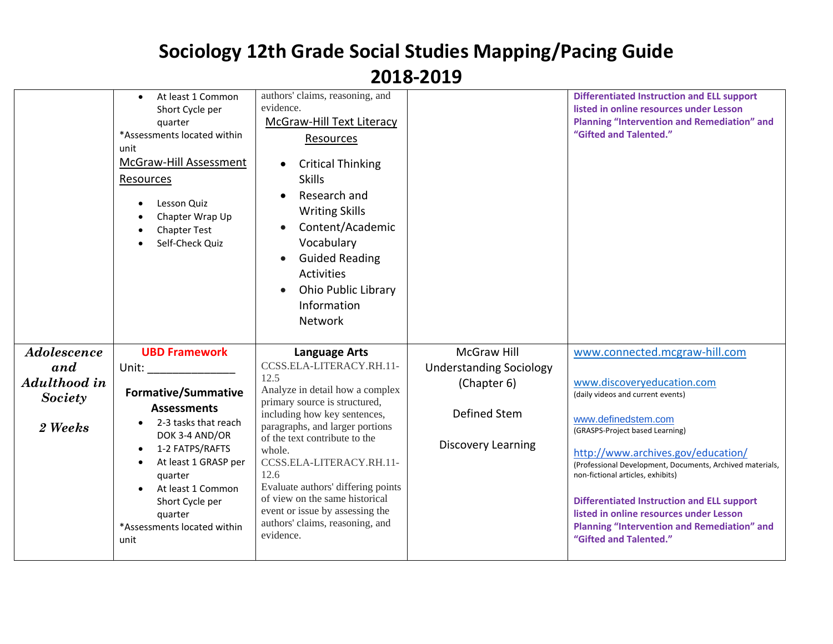|                                                          | At least 1 Common<br>Short Cycle per<br>quarter<br>*Assessments located within<br>unit<br>McGraw-Hill Assessment<br>Resources<br>Lesson Quiz<br>Chapter Wrap Up<br><b>Chapter Test</b><br>Self-Check Quiz                                                                                                                                                                                                                                                                                                         | authors' claims, reasoning, and<br>evidence.<br>McGraw-Hill Text Literacy<br>Resources<br><b>Critical Thinking</b><br><b>Skills</b><br>Research and<br><b>Writing Skills</b><br>Content/Academic<br>Vocabulary<br><b>Guided Reading</b><br>$\bullet$<br>Activities<br>Ohio Public Library<br>Information<br>Network                                                                                                                       |                                                                                                           | <b>Differentiated Instruction and ELL support</b><br>listed in online resources under Lesson<br><b>Planning "Intervention and Remediation" and</b><br>"Gifted and Talented."                                                                                                                                                                                                                                                                                                       |
|----------------------------------------------------------|-------------------------------------------------------------------------------------------------------------------------------------------------------------------------------------------------------------------------------------------------------------------------------------------------------------------------------------------------------------------------------------------------------------------------------------------------------------------------------------------------------------------|-------------------------------------------------------------------------------------------------------------------------------------------------------------------------------------------------------------------------------------------------------------------------------------------------------------------------------------------------------------------------------------------------------------------------------------------|-----------------------------------------------------------------------------------------------------------|------------------------------------------------------------------------------------------------------------------------------------------------------------------------------------------------------------------------------------------------------------------------------------------------------------------------------------------------------------------------------------------------------------------------------------------------------------------------------------|
| Adolescence<br>and<br>Adulthood in<br>Society<br>2 Weeks | <b>UBD Framework</b><br>Unit: the contract of the contract of the contract of the contract of the contract of the contract of the contract of the contract of the contract of the contract of the contract of the contract of the contract of the cont<br><b>Formative/Summative</b><br><b>Assessments</b><br>2-3 tasks that reach<br>DOK 3-4 AND/OR<br>1-2 FATPS/RAFTS<br>$\bullet$<br>At least 1 GRASP per<br>quarter<br>At least 1 Common<br>Short Cycle per<br>quarter<br>*Assessments located within<br>unit | <b>Language Arts</b><br>CCSS.ELA-LITERACY.RH.11-<br>12.5<br>Analyze in detail how a complex<br>primary source is structured,<br>including how key sentences,<br>paragraphs, and larger portions<br>of the text contribute to the<br>whole.<br>CCSS.ELA-LITERACY.RH.11-<br>12.6<br>Evaluate authors' differing points<br>of view on the same historical<br>event or issue by assessing the<br>authors' claims, reasoning, and<br>evidence. | McGraw Hill<br><b>Understanding Sociology</b><br>(Chapter 6)<br>Defined Stem<br><b>Discovery Learning</b> | www.connected.mcgraw-hill.com<br>www.discoveryeducation.com<br>(daily videos and current events)<br>www.definedstem.com<br>(GRASPS-Project based Learning)<br>http://www.archives.gov/education/<br>(Professional Development, Documents, Archived materials,<br>non-fictional articles, exhibits)<br><b>Differentiated Instruction and ELL support</b><br>listed in online resources under Lesson<br><b>Planning "Intervention and Remediation" and</b><br>"Gifted and Talented." |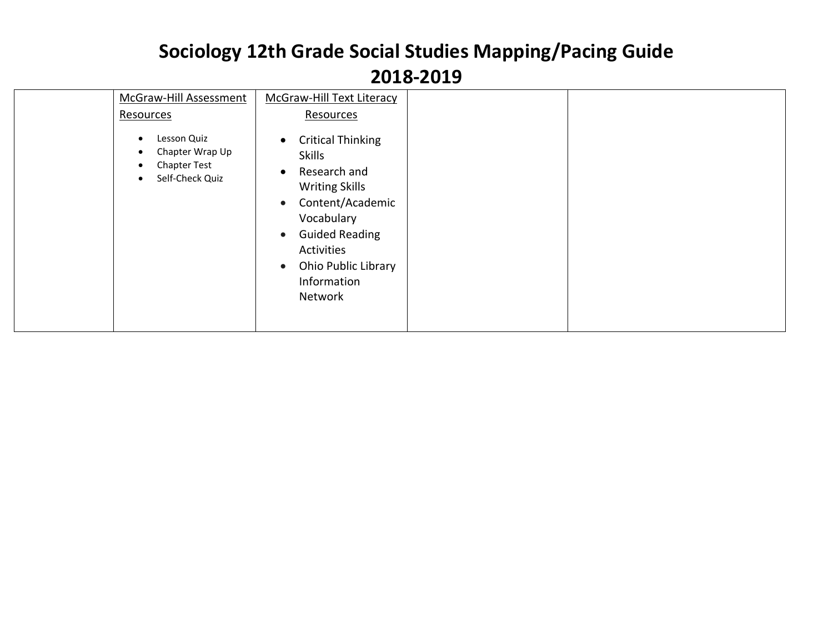| McGraw-Hill Assessment<br>Resources<br>Lesson Quiz<br>$\bullet$<br>Chapter Wrap Up<br>٠<br><b>Chapter Test</b><br>٠<br>Self-Check Quiz<br>$\bullet$ | <b>McGraw-Hill Text Literacy</b><br>Resources<br><b>Critical Thinking</b><br>$\bullet$<br><b>Skills</b><br>Research and<br>$\bullet$                                                   |  |
|-----------------------------------------------------------------------------------------------------------------------------------------------------|----------------------------------------------------------------------------------------------------------------------------------------------------------------------------------------|--|
|                                                                                                                                                     | <b>Writing Skills</b><br>Content/Academic<br>$\bullet$<br>Vocabulary<br><b>Guided Reading</b><br>$\bullet$<br>Activities<br>Ohio Public Library<br>$\bullet$<br>Information<br>Network |  |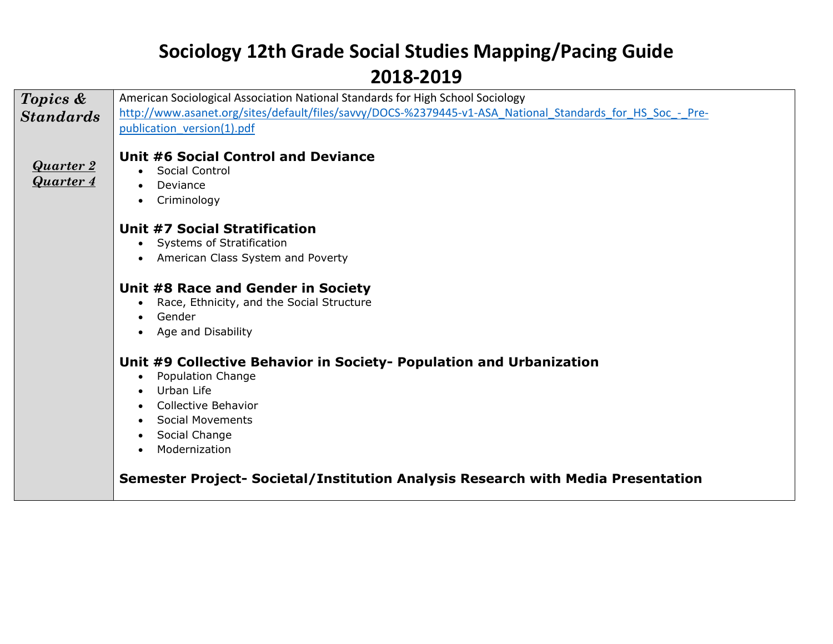#### **2018-2019**

| Topics &         | American Sociological Association National Standards for High School Sociology                               |
|------------------|--------------------------------------------------------------------------------------------------------------|
| <b>Standards</b> | http://www.asanet.org/sites/default/files/savvy/DOCS-%2379445-v1-ASA National Standards for HS Soc - Pre-    |
|                  | publication version(1).pdf                                                                                   |
|                  |                                                                                                              |
| <b>Quarter 2</b> | Unit #6 Social Control and Deviance<br>Social Control                                                        |
| Quarter 4        | $\bullet$<br>Deviance                                                                                        |
|                  | $\bullet$<br>Criminology<br>$\bullet$                                                                        |
|                  |                                                                                                              |
|                  | Unit #7 Social Stratification                                                                                |
|                  | Systems of Stratification                                                                                    |
|                  | American Class System and Poverty                                                                            |
|                  |                                                                                                              |
|                  | Unit #8 Race and Gender in Society                                                                           |
|                  | Race, Ethnicity, and the Social Structure<br>٠                                                               |
|                  | Gender<br>$\bullet$                                                                                          |
|                  | Age and Disability                                                                                           |
|                  |                                                                                                              |
|                  | Unit #9 Collective Behavior in Society- Population and Urbanization<br><b>Population Change</b><br>$\bullet$ |
|                  | Urban Life<br>$\bullet$                                                                                      |
|                  | <b>Collective Behavior</b>                                                                                   |
|                  | <b>Social Movements</b><br>$\bullet$                                                                         |
|                  | Social Change<br>$\bullet$                                                                                   |
|                  | Modernization<br>$\bullet$                                                                                   |
|                  |                                                                                                              |
|                  | Semester Project- Societal/Institution Analysis Research with Media Presentation                             |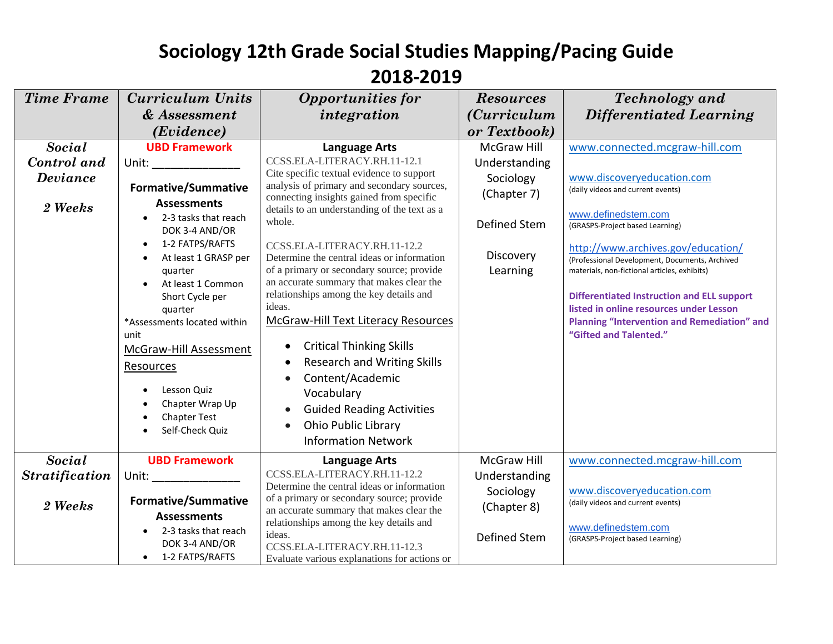| <b>Time Frame</b>                                   | <b>Curriculum Units</b><br>& Assessment<br>(Evidence)                                                                                                                                                                                                                                                                                                                                                                                                                                                                                                                                                                                | <b>Opportunities for</b><br>integration                                                                                                                                                                                                                                                                                                                                                                                                                                                                                                                                                                                                                                                                                                                              | <b>Resources</b><br><i>(Curriculum</i> )<br>or Textbook)                                          | <b>Technology</b> and<br>Differentiated Learning                                                                                                                                                                                                                                                                                                                                                                                                                                   |
|-----------------------------------------------------|--------------------------------------------------------------------------------------------------------------------------------------------------------------------------------------------------------------------------------------------------------------------------------------------------------------------------------------------------------------------------------------------------------------------------------------------------------------------------------------------------------------------------------------------------------------------------------------------------------------------------------------|----------------------------------------------------------------------------------------------------------------------------------------------------------------------------------------------------------------------------------------------------------------------------------------------------------------------------------------------------------------------------------------------------------------------------------------------------------------------------------------------------------------------------------------------------------------------------------------------------------------------------------------------------------------------------------------------------------------------------------------------------------------------|---------------------------------------------------------------------------------------------------|------------------------------------------------------------------------------------------------------------------------------------------------------------------------------------------------------------------------------------------------------------------------------------------------------------------------------------------------------------------------------------------------------------------------------------------------------------------------------------|
| <b>Social</b><br>Control and<br>Deviance<br>2 Weeks | <b>UBD Framework</b><br>Unit: the contract of the contract of the contract of the contract of the contract of the contract of the contract of the contract of the contract of the contract of the contract of the contract of the contract of the cont<br><b>Formative/Summative</b><br><b>Assessments</b><br>2-3 tasks that reach<br>DOK 3-4 AND/OR<br>1-2 FATPS/RAFTS<br>$\bullet$<br>At least 1 GRASP per<br>quarter<br>At least 1 Common<br>Short Cycle per<br>quarter<br>*Assessments located within<br>unit<br>McGraw-Hill Assessment<br>Resources<br>Lesson Quiz<br>Chapter Wrap Up<br><b>Chapter Test</b><br>Self-Check Quiz | <b>Language Arts</b><br>CCSS.ELA-LITERACY.RH.11-12.1<br>Cite specific textual evidence to support<br>analysis of primary and secondary sources,<br>connecting insights gained from specific<br>details to an understanding of the text as a<br>whole.<br>CCSS.ELA-LITERACY.RH.11-12.2<br>Determine the central ideas or information<br>of a primary or secondary source; provide<br>an accurate summary that makes clear the<br>relationships among the key details and<br>ideas.<br><b>McGraw-Hill Text Literacy Resources</b><br><b>Critical Thinking Skills</b><br>$\bullet$<br><b>Research and Writing Skills</b><br>Content/Academic<br>Vocabulary<br><b>Guided Reading Activities</b><br>$\bullet$<br><b>Ohio Public Library</b><br><b>Information Network</b> | McGraw Hill<br>Understanding<br>Sociology<br>(Chapter 7)<br>Defined Stem<br>Discovery<br>Learning | www.connected.mcgraw-hill.com<br>www.discoveryeducation.com<br>(daily videos and current events)<br>www.definedstem.com<br>(GRASPS-Project based Learning)<br>http://www.archives.gov/education/<br>(Professional Development, Documents, Archived<br>materials, non-fictional articles, exhibits)<br><b>Differentiated Instruction and ELL support</b><br>listed in online resources under Lesson<br><b>Planning "Intervention and Remediation" and</b><br>"Gifted and Talented." |
| <b>Social</b><br><b>Stratification</b><br>2 Weeks   | <b>UBD Framework</b><br>Unit: a controller and controller and controller and controller and controller and controller and controller and controller and controller and controller and controller and controller and controller and controller and cont<br><b>Formative/Summative</b><br><b>Assessments</b><br>2-3 tasks that reach<br>DOK 3-4 AND/OR<br>• 1-2 FATPS/RAFTS                                                                                                                                                                                                                                                            | <b>Language Arts</b><br>CCSS.ELA-LITERACY.RH.11-12.2<br>Determine the central ideas or information<br>of a primary or secondary source; provide<br>an accurate summary that makes clear the<br>relationships among the key details and<br>ideas.<br>CCSS.ELA-LITERACY.RH.11-12.3<br>Evaluate various explanations for actions or                                                                                                                                                                                                                                                                                                                                                                                                                                     | <b>McGraw Hill</b><br>Understanding<br>Sociology<br>(Chapter 8)<br>Defined Stem                   | www.connected.mcgraw-hill.com<br>www.discoveryeducation.com<br>(daily videos and current events)<br>www.definedstem.com<br>(GRASPS-Project based Learning)                                                                                                                                                                                                                                                                                                                         |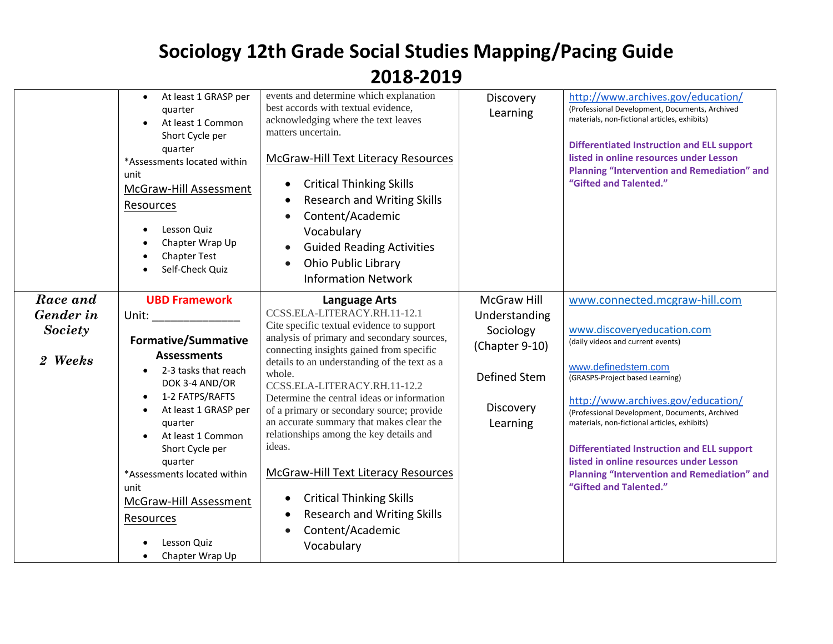|                                                    | At least 1 GRASP per<br>$\bullet$<br>quarter<br>At least 1 Common<br>Short Cycle per<br>quarter<br>*Assessments located within<br>unit<br>McGraw-Hill Assessment<br>Resources<br>Lesson Quiz<br>Chapter Wrap Up<br><b>Chapter Test</b><br>Self-Check Quiz                                                                                                                                                                                                                                                                                                                                        | events and determine which explanation<br>best accords with textual evidence,<br>acknowledging where the text leaves<br>matters uncertain.<br><b>McGraw-Hill Text Literacy Resources</b><br><b>Critical Thinking Skills</b><br>$\bullet$<br><b>Research and Writing Skills</b><br>Content/Academic<br>Vocabulary<br><b>Guided Reading Activities</b><br>Ohio Public Library<br><b>Information Network</b>                                                                                                                                                                                                                                               | Discovery<br>Learning                                                                                       | http://www.archives.gov/education/<br>(Professional Development, Documents, Archived<br>materials, non-fictional articles, exhibits)<br><b>Differentiated Instruction and ELL support</b><br>listed in online resources under Lesson<br><b>Planning "Intervention and Remediation" and</b><br>"Gifted and Talented."                                                                                                                                                               |
|----------------------------------------------------|--------------------------------------------------------------------------------------------------------------------------------------------------------------------------------------------------------------------------------------------------------------------------------------------------------------------------------------------------------------------------------------------------------------------------------------------------------------------------------------------------------------------------------------------------------------------------------------------------|---------------------------------------------------------------------------------------------------------------------------------------------------------------------------------------------------------------------------------------------------------------------------------------------------------------------------------------------------------------------------------------------------------------------------------------------------------------------------------------------------------------------------------------------------------------------------------------------------------------------------------------------------------|-------------------------------------------------------------------------------------------------------------|------------------------------------------------------------------------------------------------------------------------------------------------------------------------------------------------------------------------------------------------------------------------------------------------------------------------------------------------------------------------------------------------------------------------------------------------------------------------------------|
| Race and<br>Gender in<br><b>Society</b><br>2 Weeks | <b>UBD Framework</b><br>Unit: the contract of the contract of the contract of the contract of the contract of the contract of the contract of the contract of the contract of the contract of the contract of the contract of the contract of the cont<br>Formative/Summative<br><b>Assessments</b><br>2-3 tasks that reach<br>DOK 3-4 AND/OR<br>1-2 FATPS/RAFTS<br>$\bullet$<br>At least 1 GRASP per<br>$\bullet$<br>quarter<br>At least 1 Common<br>Short Cycle per<br>quarter<br>*Assessments located within<br>unit<br>McGraw-Hill Assessment<br>Resources<br>Lesson Quiz<br>Chapter Wrap Up | <b>Language Arts</b><br>CCSS.ELA-LITERACY.RH.11-12.1<br>Cite specific textual evidence to support<br>analysis of primary and secondary sources,<br>connecting insights gained from specific<br>details to an understanding of the text as a<br>whole.<br>CCSS.ELA-LITERACY.RH.11-12.2<br>Determine the central ideas or information<br>of a primary or secondary source; provide<br>an accurate summary that makes clear the<br>relationships among the key details and<br>ideas.<br><b>McGraw-Hill Text Literacy Resources</b><br><b>Critical Thinking Skills</b><br>$\bullet$<br><b>Research and Writing Skills</b><br>Content/Academic<br>Vocabulary | <b>McGraw Hill</b><br>Understanding<br>Sociology<br>(Chapter 9-10)<br>Defined Stem<br>Discovery<br>Learning | www.connected.mcgraw-hill.com<br>www.discoveryeducation.com<br>(daily videos and current events)<br>www.definedstem.com<br>(GRASPS-Project based Learning)<br>http://www.archives.gov/education/<br>(Professional Development, Documents, Archived<br>materials, non-fictional articles, exhibits)<br><b>Differentiated Instruction and ELL support</b><br>listed in online resources under Lesson<br><b>Planning "Intervention and Remediation" and</b><br>"Gifted and Talented." |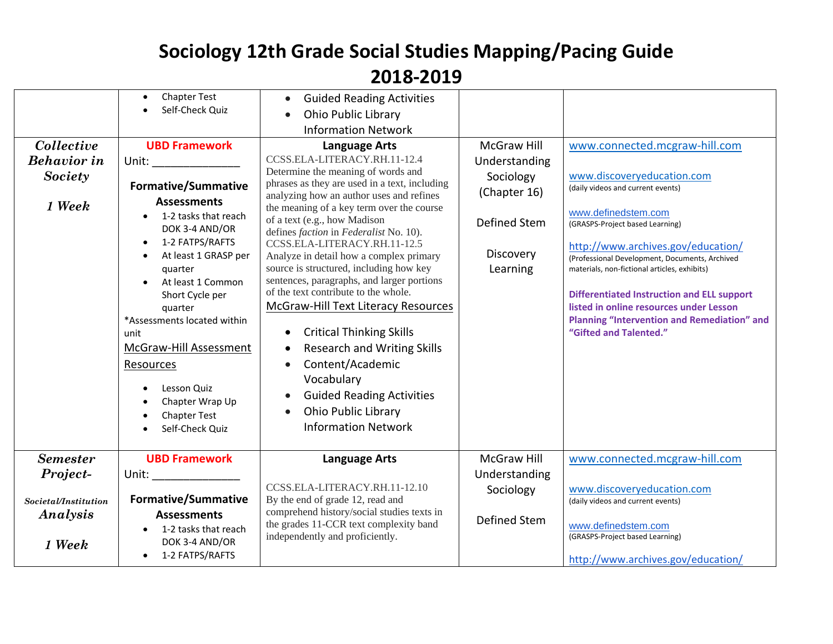| Collective<br><b>Behavior</b> in<br>Society<br>1 Week           | <b>Chapter Test</b><br>Self-Check Quiz<br><b>UBD Framework</b><br>Unit: ________________<br><b>Formative/Summative</b><br><b>Assessments</b><br>1-2 tasks that reach<br>DOK 3-4 AND/OR<br>1-2 FATPS/RAFTS<br>$\bullet$<br>At least 1 GRASP per<br>quarter<br>At least 1 Common<br>Short Cycle per<br>quarter<br>*Assessments located within<br>unit<br>McGraw-Hill Assessment<br>Resources<br>Lesson Quiz<br>Chapter Wrap Up<br><b>Chapter Test</b> | <b>Guided Reading Activities</b><br><b>Ohio Public Library</b><br><b>Information Network</b><br><b>Language Arts</b><br>CCSS.ELA-LITERACY.RH.11-12.4<br>Determine the meaning of words and<br>phrases as they are used in a text, including<br>analyzing how an author uses and refines<br>the meaning of a key term over the course<br>of a text (e.g., how Madison<br>defines <i>faction</i> in <i>Federalist</i> No. 10).<br>CCSS.ELA-LITERACY.RH.11-12.5<br>Analyze in detail how a complex primary<br>source is structured, including how key<br>sentences, paragraphs, and larger portions<br>of the text contribute to the whole.<br><b>McGraw-Hill Text Literacy Resources</b><br><b>Critical Thinking Skills</b><br><b>Research and Writing Skills</b><br>$\bullet$<br>Content/Academic<br>Vocabulary<br><b>Guided Reading Activities</b><br><b>Ohio Public Library</b> | <b>McGraw Hill</b><br>Understanding<br>Sociology<br>(Chapter 16)<br>Defined Stem<br>Discovery<br>Learning | www.connected.mcgraw-hill.com<br>www.discoveryeducation.com<br>(daily videos and current events)<br>www.definedstem.com<br>(GRASPS-Project based Learning)<br>http://www.archives.gov/education/<br>(Professional Development, Documents, Archived<br>materials, non-fictional articles, exhibits)<br><b>Differentiated Instruction and ELL support</b><br>listed in online resources under Lesson<br><b>Planning "Intervention and Remediation" and</b><br>"Gifted and Talented." |
|-----------------------------------------------------------------|-----------------------------------------------------------------------------------------------------------------------------------------------------------------------------------------------------------------------------------------------------------------------------------------------------------------------------------------------------------------------------------------------------------------------------------------------------|----------------------------------------------------------------------------------------------------------------------------------------------------------------------------------------------------------------------------------------------------------------------------------------------------------------------------------------------------------------------------------------------------------------------------------------------------------------------------------------------------------------------------------------------------------------------------------------------------------------------------------------------------------------------------------------------------------------------------------------------------------------------------------------------------------------------------------------------------------------------------------|-----------------------------------------------------------------------------------------------------------|------------------------------------------------------------------------------------------------------------------------------------------------------------------------------------------------------------------------------------------------------------------------------------------------------------------------------------------------------------------------------------------------------------------------------------------------------------------------------------|
|                                                                 | Self-Check Quiz                                                                                                                                                                                                                                                                                                                                                                                                                                     | <b>Information Network</b>                                                                                                                                                                                                                                                                                                                                                                                                                                                                                                                                                                                                                                                                                                                                                                                                                                                       |                                                                                                           |                                                                                                                                                                                                                                                                                                                                                                                                                                                                                    |
| <b>Semester</b><br>Project-<br>Societal/Institution<br>Analysis | <b>UBD Framework</b><br>Unit: and the state of the state of the state of the state of the state of the state of the state of the state<br><b>Formative/Summative</b><br><b>Assessments</b>                                                                                                                                                                                                                                                          | <b>Language Arts</b><br>CCSS.ELA-LITERACY.RH.11-12.10<br>By the end of grade 12, read and<br>comprehend history/social studies texts in                                                                                                                                                                                                                                                                                                                                                                                                                                                                                                                                                                                                                                                                                                                                          | <b>McGraw Hill</b><br>Understanding<br>Sociology<br>Defined Stem                                          | www.connected.mcgraw-hill.com<br>www.discoveryeducation.com<br>(daily videos and current events)                                                                                                                                                                                                                                                                                                                                                                                   |
| 1 Week                                                          | 1-2 tasks that reach<br>DOK 3-4 AND/OR<br>• 1-2 FATPS/RAFTS                                                                                                                                                                                                                                                                                                                                                                                         | the grades 11-CCR text complexity band<br>independently and proficiently.                                                                                                                                                                                                                                                                                                                                                                                                                                                                                                                                                                                                                                                                                                                                                                                                        |                                                                                                           | www.definedstem.com<br>(GRASPS-Project based Learning)<br>http://www.archives.gov/education/                                                                                                                                                                                                                                                                                                                                                                                       |